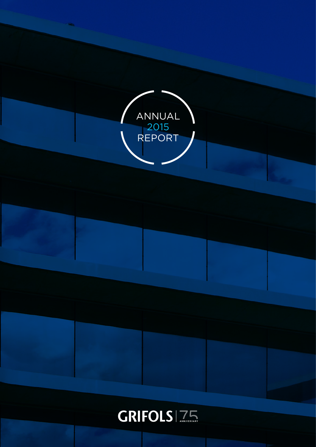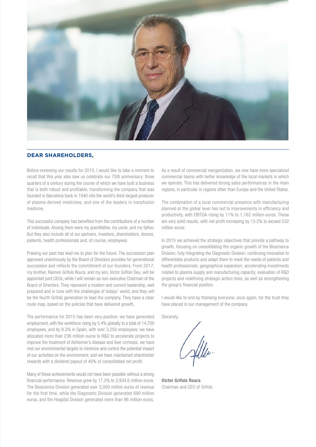

#### **DEAR SHAREHOLDERS,**

Before reviewing our results for 2015, I would like to take a moment to recall that this year also saw us celebrate our 75th anniversary: three quarters of a century during the course of which we have built a business that is both robust and profitable, transforming the company that was founded in Barcelona back in 1940 into the world's third-largest producer of plasma-derived medicines, and one of the leaders in transfusion medicine.

This successful company has benefited from the contributions of a number of individuals. Among them were my grandfather, my uncle, and my father. But they also include all of our partners, investors, shareholders, donors, patients, health professionals and, of course, employees.

Praising our past has lead me to plan for the future. The succession plan approved unanimously by the Board of Directors provides for generational succession and reflects the commitment of our founders. From 2017, my brother, Raimon Grífols Roura, and my son, Víctor Grífols Deu, will be appointed joint CEOs, while I will remain as non-executive Chairman of the Board of Directors. They represent a modern and current leadership, well prepared and in tune with the challenges of todays' world, and they will be the fourth Grifols generation to lead the company. They have a clear route map, based on the policies that have delivered growth.

The performance for 2015 has been very positive: we have generated employment, with the workforce rising by 5.4% globally to a total of 14,700 employees, and by 9.2% in Spain, with over 3,250 employees; we have allocated more than 236 million euros to R&D to accelerate projects to improve the treatment of Alzheimer's disease and liver cirrhosis; we have met our environmental targets to minimize and control the potential impact of our activities on the environment; and we have maintained shareholder rewards with a dividend payout of 40% of consolidated net profit.

Many of these achievements would not have been possible without a strong financial performance. Revenue grew by 17.3% to 3,934.6 million euros. The Bioscience Division generated over 3,000 million euros of revenue for the first time, while the Diagnostic Division generated 690 million euros, and the Hospital Division generated more than 96 million euros.

As a result of commercial reorganization, we now have more specialized commercial teams with better knowledge of the local markets in which we operate. This has delivered strong sales performances in the main regions, in particular in regions other than Europe and the United States.

The combination of a local commercial presence with manufacturing planned at the global level has led to improvements in efficiency and productivity, with EBITDA rising by 11% to 1,162 million euros. These are very solid results, with net profit increasing by 13.2% to exceed 532 million euros.

In 2015 we achieved the strategic objectives that provide a pathway to growth, focusing on consolidating the organic growth of the Bioscience Division; fully integrating the Diagnostic Division; continuing innovation to differentiate products and adapt them to meet the needs of patients and health professionals; geographical expansion; accelerating investments related to plasma supply and manufacturing capacity; evaluation of R&D projects and redefining strategic action lines, as well as strengthening the group's financial position.

I would like to end by thanking everyone, once again, for the trust they have placed in our management of the company.

Sincerely,

Víctor Grífols Roura Chairman and CEO of Grifols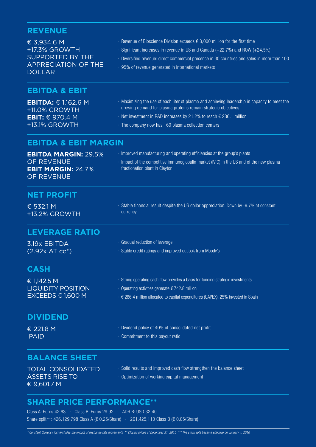# **REVENUE**

| € 3,934.6 M<br>+17.3% GROWTH<br><b>SUPPORTED BY THE</b><br><b>APPRECIATION OF THE</b><br><b>DOLLAR</b> | $\cdot$ Revenue of Bioscience Division exceeds $\epsilon$ 3,000 million for the first time<br>· Significant increases in revenue in US and Canada (+22.7%) and ROW (+24.5%)<br>· Diversified revenue: direct commercial presence in 30 countries and sales in more than 100<br>· 95% of revenue generated in international markets |
|--------------------------------------------------------------------------------------------------------|------------------------------------------------------------------------------------------------------------------------------------------------------------------------------------------------------------------------------------------------------------------------------------------------------------------------------------|
| <b>EBITDA &amp; EBIT</b>                                                                               |                                                                                                                                                                                                                                                                                                                                    |
| <b>EBITDA:</b> $\in$ 1,162.6 M<br>+11.0% GROWTH<br><b>EBIT:</b> $\in$ 970.4 M<br>+13.1% GROWTH         | · Maximizing the use of each liter of plasma and achieving leadership in capacity to meet the<br>growing demand for plasma proteins remain strategic objectives<br>$\cdot$ Net investment in R&D increases by 21.2% to reach $\epsilon$ 236.1 million<br>· The company now has 160 plasma collection centers                       |
| <b>EBITDA &amp; EBIT MARGIN</b>                                                                        |                                                                                                                                                                                                                                                                                                                                    |
| <b>EBITDA MARGIN: 29.5%</b><br>OF REVENUE<br><b>EBIT MARGIN: 24.7%</b><br>OF REVENUE                   | · Improved manufacturing and operating efficiencies at the group's plants<br>· Impact of the competitive immunoglobulin market (IVIG) in the US and of the new plasma<br>fractionation plant in Clayton                                                                                                                            |
| <b>NET PROFIT</b>                                                                                      |                                                                                                                                                                                                                                                                                                                                    |
| € 532.1 M<br>+13.2% GROWTH                                                                             | · Stable financial result despite the US dollar appreciation. Down by -9.7% at constant<br>currency                                                                                                                                                                                                                                |
| <b>LEVERAGE RATIO</b>                                                                                  |                                                                                                                                                                                                                                                                                                                                    |
| 3.19x EBITDA<br>$(2.92x AT cc*)$                                                                       | · Gradual reduction of leverage<br>· Stable credit ratings and improved outlook from Moody's                                                                                                                                                                                                                                       |
| <b>CASH</b>                                                                                            |                                                                                                                                                                                                                                                                                                                                    |
| € 1,142.5 M<br><b>LIQUIDITY POSITION</b><br>EXCEEDS € 1,600 M                                          | · Strong operating cash flow provides a basis for funding strategic investments<br>$\cdot$ Operating activities generate € 742.8 million<br>· € 266.4 million allocated to capital expenditures (CAPEX). 25% invested in Spain                                                                                                     |
| <b>DIVIDEND</b>                                                                                        |                                                                                                                                                                                                                                                                                                                                    |
| € 221.8 M<br><b>PAID</b>                                                                               | · Dividend policy of 40% of consolidated net profit<br>· Commitment to this payout ratio                                                                                                                                                                                                                                           |
| <b>BALANCE SHEET</b>                                                                                   |                                                                                                                                                                                                                                                                                                                                    |
| <b>TOTAL CONSOLIDATED</b><br><b>ASSETS RISE TO</b><br>€ 9,601.7 M                                      | · Solid results and improved cash flow strengthen the balance sheet<br>• Optimization of working capital management                                                                                                                                                                                                                |
|                                                                                                        |                                                                                                                                                                                                                                                                                                                                    |

## **SHARE PRICE PERFORMANCE\*\***

Class A: Euros 42.63 · Class B: Euros 29.92 · ADR B: USD 32.40 Share split*\*\*\** : 426,129,798 Class A (€ 0.25/Share) · 261,425,110 Class B (€ 0.05/Share)

*\* Constant Currency (cc) excludes the impact of exchange rate movements \*\* Closing prices at December 31, 2015 \*\*\* The stock split became effective on January 4, 2016*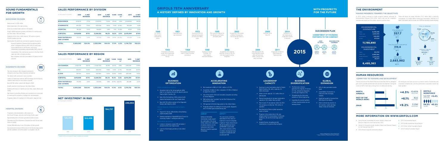# **SOUND FUNDAMENTALS FOR GROWTH**

#### BIOSCIENCE DIVISION

- · Revenue over € 3,000 million
- · Global leadership in the main proteins
- · Driven by increased sales volume in all markets
- · Group's global expansion: growing contribution of countries such as China, Brazil, Chile and Turkey
- · Expansion of the donor center network: 160 centers received 26,000 donations per day
- · Opportunities for growth and commercial expansion focused on:
	- · Improved diagnosis of diseases linked to plasma proteins: alpha-1 antitrypsin deficiency (AAT) in the US and Europe; immunodeficiencies in Latin America; and chronic inflammatory demyelinating polyneuropathy (CIDP) in the US
	- · Consolidation of the commercial presence in the Asia-Pacific region and other emerging countries
	- · New indications and more presentations of plasma-derived products

#### DIAGNOSTIC DIVISION

- · The only company to offer integrated solutions for virological screening of blood donations and plasma
- · The division with a presence in more countries
- · Leaders in transfusion medicine: NAT technology and blood typing solutions have been the main drivers of growth
- · New USD700 million contract with Abbott to 2026
- · Growth potential in blood typing in the United States
- · Positive performance in markets such as China, Japan, Mexico and **Turkey**
- · High levels of productive efficiency and construction of a new plant to modernize the production of antigens for immunoassays
- · Progenika obtains CE marking for its first genetic diagnostic test

#### HOSPITAL DIVISION

- · Progressive internationalization, with presence in the US and Portugal, and entry into the Asia-Pacific region
- · Approximately 30% of turnover generated outside of Spain
- · Pharmatech and the Intravenous Therapies line were the two main drivers of growth
- · Contract Manufacturing is one of the pillars of future growth
- · Key achievements include FDA license for the KiroOncology system and the installation of the first system in a hospital in the US

WWW

l.

# **SALES PERFORMANCE BY DIVISION**

| <b>IN THOUSANDS OF EUROS</b>              | 2015      | % NET<br><b>REVENUE</b> | 2014      | % NET<br><b>REVENUE</b> | %VAR  | %VAR<br>$cc^*$     | 2013      | % NET<br><b>REVENUE</b> |
|-------------------------------------------|-----------|-------------------------|-----------|-------------------------|-------|--------------------|-----------|-------------------------|
| <b>BIOSCIENCE</b>                         | 3,032,111 | 77.1%                   | 2,513,510 | 74.9%                   | 20.6% | 4.8%               | 2,448,824 | 89.3%                   |
| <b>DIAGNOSTIC</b>                         | 691,452   | 17.6%                   | 620,022   | 18.5%                   | 11.5% | $(0.9\%)$          | 130,339   | 4.8%                    |
| <b>HOSPITAL</b>                           | 96.245    | 2.4%                    | 94,800    | 2.8%                    | 1.5%  | $(0.2\%)$          | 97,131    | 3.5%                    |
| <b>SUBTOTAL</b>                           | 3,819,808 | 97.1%                   | 3,228,332 | 96.2%                   | 18.3% | 3.5%               | 2,676,294 | 97.6%                   |
| <b>RAW MATERIALS</b><br><b>AND OTHERS</b> | 114.755   | 2.9%                    | 127,052   | 3.8%                    |       | $(9.7%)$ $(22.2%)$ | 65,438    | 2.4%                    |
| <b>TOTAL</b>                              | 3,934,563 | 100.0%                  | 3,355,384 | 100.0%                  | 17.3% | 2.5%               | 2,741,732 | 100.0%                  |

## **SALES PERFORMANCE BY REGION**

| <b>IN THOUSANDS OF EUROS</b>              | 2015      | % NET<br><b>REVENUE</b> | 2014      | % NET<br><b>REVENUE</b> | %VAR  | %VAR<br>$cc^*$     | 2013      | % NET<br><b>REVENUE</b> |
|-------------------------------------------|-----------|-------------------------|-----------|-------------------------|-------|--------------------|-----------|-------------------------|
| <b>US+CANADA</b>                          | 2,505,791 | 63.7%                   | 2,042,700 | 60.9%                   | 22.7% | 2.8%               | 1,694,361 | 61.8%                   |
| EU                                        | 662.917   | 16.8%                   | 662.802   | 19.8%                   | 0.0%  | (1.7%)             | 556.325   | 20.3%                   |
| <b>R.O.W.</b>                             | 651,100   | 16.6%                   | 522.830   | 15.5%                   | 24.5% | 12.8%              | 425,608   | 15.5%                   |
| <b>SUBTOTAL</b>                           | 3,819,808 | 97.1%                   | 3,228,332 | 96.2%                   | 18.3% | 3.5%               | 2,676,294 | 97.6%                   |
| <b>RAW MATERIALS</b><br><b>AND OTHERS</b> | 114,755   | 2.9%                    | 127,052   | 3.8%                    |       | $(9.7%)$ $(22.2%)$ | 65,438    | 2.4%                    |
| <b>TOTAL</b>                              | 3,934,563 | 100.0%                  | 3,355,384 | 100.0%                  | 17.3% | 2.5%               | 2,741,732 | 100.0%                  |



*\* Constant Currency (cc) excludes the impact of exchange rate movements*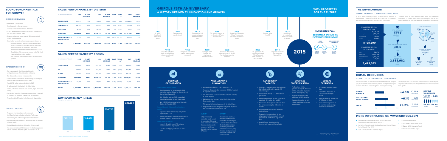- Support for chronic inflammatory demyelinating polyneuropathy (CIDP)
- Gradual penetration of AlphaKit® Quick Screen for screening of alpha-1 antitrypsin deficiency

- License in Canada to market IVIG and alpha-1 produced at the new Clayton plant
- Launch of blood typing solutions in the United **States**
- Net investment in R&D of  $\epsilon$  236.1 million  $(+21.2%)$
- Acquisition of stakes in other companies: 47.58% of Alkahest to support its research
- One of the world's 100 most innovative companies according to Forbes Magazine
- R&D activity rated "excellent" by the Plan Profarma of the Government of Spain
- FDA approval of KiroOncology system in the United States
- Progenika obtains CE marking for its first genetic diagnostic test of familial hypercholesterolemia (FH)
- Opening of a new fractionation plant in Clayton (North Carolina, US), with a capacity of 6 million liters/year.
- Grifols current capacity: 12.5 million liters of plasma/year
- Planned investments to increase fractionation capacity to 18.5 million liters by 2022
- Plan to open 75 new plasma centers by 2021. The company currently has 160 centers in operation
- New Bioscience Division global operations center in Dublin
- Progress in the construction of the new antigens plant for immunoassay in Emeryville (California, US) and the blood bags plant in Brazil
- Hospital Division strengthened with investments in its plant at Murcia (Spain)

generates the majority of revenue (77.1%), followed by Diagnostic (17.6%) and Hospital (2.4%)

RAIMON GRÍFOLS ROURA

VÍCTOR GRÍFOLS ROURA



#### Greater manufacturing efficiency:

- Operations start at the immunoglobulin (IVIG) plant in Los Angeles (US) and the albumin plant at Clayton (North Carolina, US)
- Sale of the first batches of IVIG produced with plasma fractionated at the new Clayton plant
- New USD 700 million contract of the Diagnostic Division with Abbott to 2026



## **ACCELERATING INNOVATION**

#### **LEADERSHIP CAPACITY**

SIPPET\*\*

The conclusions could have implications for the choice of treatment of severe hemophilia Ambar explores the combination A patients. Plasma derived factor VIII with VonWillebrand factor (pdFVIII/VWF) is associated with a lower incidence (-87%) of inhibitor development when compared to treatments with recombinant FVIII



AMBAR\*

Safety and tolerability intermediate results support the continuation of the study. of plasma extraction and its replacement with Grifols' albumin to treat the symptoms of Alzheimer

#### **GLOBAL EXPANSION**

- 95% of sales generated outside **Spain**
- Consolidation of presence in China and other emerging markets
- Significant growth of revenue from ROW (Rest of the World)
- Direct commercial presence in 30 countries. Latest openings: Taiwan, India and Indonesia

# **A HISTORY DEFINED BY INNOVATION AND GROWTH GRIFOLS 75TH ANNIVERSARY WITH PROSPECTS**

# **FOR THE FUTURE**

## SUCCESSION PLAN

#### COMMITMENT OF FOUNDING PARTNERS TO THE COMPANY



- The Bioscience Division
- Strengthening the third-party
- already present
- 

activities of Grifols Engineering

• Expanding the product portfolio in those countries where we are



#### **BUSINESS DIVERSIFICATION**



Ω







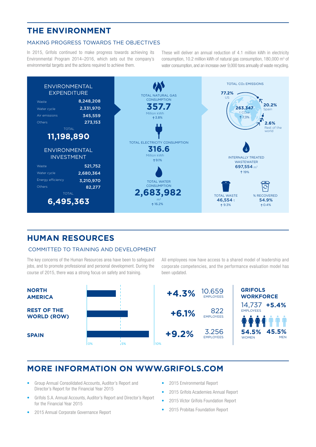# **THE ENVIRONMENT**

#### MAKING PROGRESS TOWARDS THE OBJECTIVES

In 2015, Grifols continued to make progress towards achieving its Environmental Program 2014–2016, which sets out the company's environmental targets and the actions required to achieve them.

These will deliver an annual reduction of 4.1 million kWh in electricity consumption, 10.2 million kWh of natural gas consumption, 180,000 m<sup>3</sup> of water consumption, and an increase over 9,000 tons annually of waste recycling.



## **HUMAN RESOURCES**

#### COMMITTED TO TRAINING AND DEVELOPMENT

The key concerns of the Human Resources area have been to safeguard jobs, and to promote professional and personal development. During the course of 2015, there was a strong focus on safety and training.

All employees now have access to a shared model of leadership and corporate competencies, and the performance evaluation model has been updated.



# **MORE INFORMATION ON WWW.GRIFOLS.COM**

- Group Annual Consolidated Accounts, Auditor's Report and Director's Report for the Financial Year 2015
- Grifols S.A. Annual Accounts, Auditor's Report and Director's Report for the Financial Year 2015
- 2015 Annual Corporate Governance Report
- 2015 Environmental Report
- 2015 Grifols Academies Annual Report
- 2015 Víctor Grífols Foundation Report
- 2015 Probitas Foundation Report